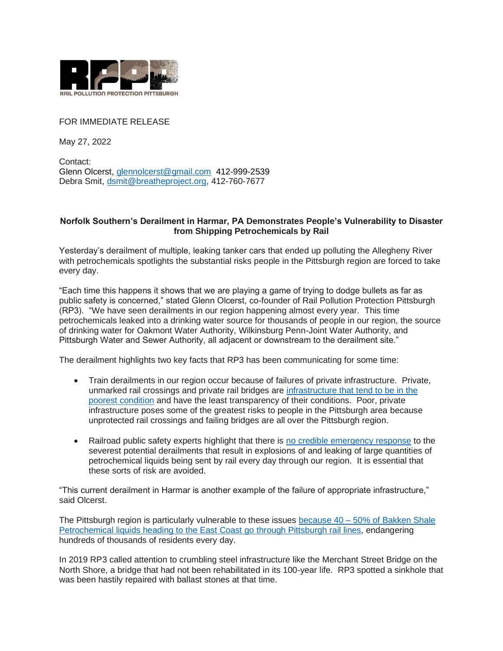

## FOR IMMEDIATE RELEASE

May 27, 2022

Contact: Glenn Olcerst, [glennolcerst@gmail.com](mailto:glennolcerst@gmail.com) 412-999-2539 Debra Smit, [dsmit@breatheproject.org,](mailto:dsmit@breatheproject.org) 412-760-7677

## **Norfolk Southern's Derailment in Harmar, PA Demonstrates People's Vulnerability to Disaster from Shipping Petrochemicals by Rail**

Yesterday's derailment of multiple, leaking tanker cars that ended up polluting the Allegheny River with petrochemicals spotlights the substantial risks people in the Pittsburgh region are forced to take every day.

"Each time this happens it shows that we are playing a game of trying to dodge bullets as far as public safety is concerned," stated Glenn Olcerst, co-founder of Rail Pollution Protection Pittsburgh (RP3). "We have seen derailments in our region happening almost every year. This time petrochemicals leaked into a drinking water source for thousands of people in our region, the source of drinking water for Oakmont Water Authority, Wilkinsburg Penn-Joint Water Authority, and Pittsburgh Water and Sewer Authority, all adjacent or downstream to the derailment site."

The derailment highlights two key facts that RP3 has been communicating for some time:

- Train derailments in our region occur because of failures of private infrastructure. Private, unmarked rail crossings and private rail bridges are [infrastructure that tend to be in the](https://www.youtube.com/watch?v=FCczhbt1fEg&list=PLuy2nzsk-XDWsXb-o6DmcrD0Akfc31uK1&index=22)  [poorest condition](https://www.youtube.com/watch?v=FCczhbt1fEg&list=PLuy2nzsk-XDWsXb-o6DmcrD0Akfc31uK1&index=22) and have the least transparency of their conditions. Poor, private infrastructure poses some of the greatest risks to people in the Pittsburgh area because unprotected rail crossings and failing bridges are all over the Pittsburgh region.
- Railroad public safety experts highlight that there is [no credible emergency response](https://www.youtube.com/watch?v=cbQZpI41xAw&list=PLuy2nzsk-XDWsXb-o6DmcrD0Akfc31uK1&index=12) to the severest potential derailments that result in explosions of and leaking of large quantities of petrochemical liquids being sent by rail every day through our region. It is essential that these sorts of risk are avoided.

"This current derailment in Harmar is another example of the failure of appropriate infrastructure," said Olcerst.

The Pittsburgh region is particularly vulnerable to these issues because  $40 - 50\%$  of Bakken Shale [Petrochemical liquids heading to the East Coast go through Pittsburgh rail lines,](https://www.youtube.com/watch?v=ysP80FSyBPM&list=PLuy2nzsk-XDWsXb-o6DmcrD0Akfc31uK1&index=20) endangering hundreds of thousands of residents every day.

In 2019 RP3 called attention to crumbling steel infrastructure like the Merchant Street Bridge on the North Shore, a bridge that had not been rehabilitated in its 100-year life. RP3 spotted a sinkhole that was been hastily repaired with ballast stones at that time.